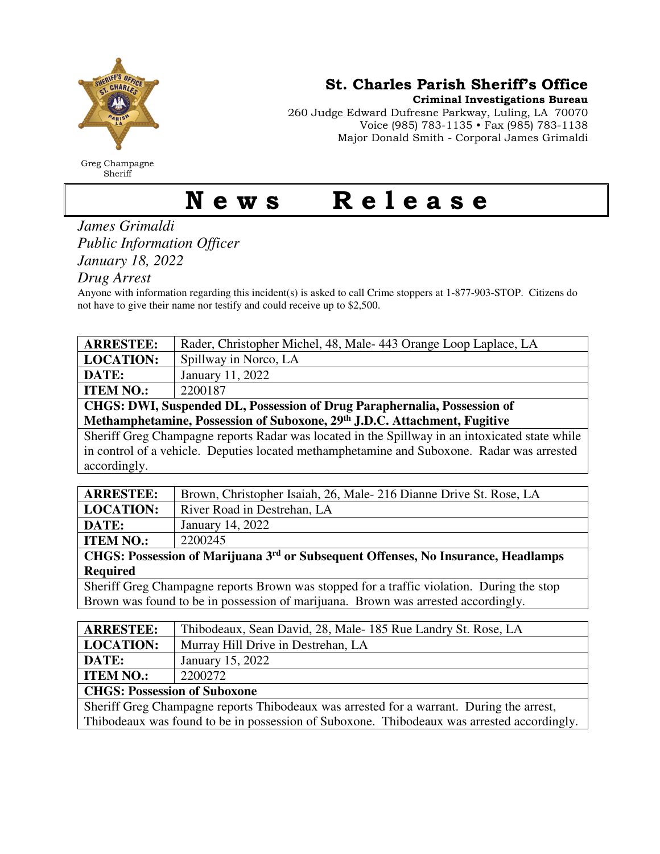

Greg Champagne Sheriff

St. Charles Parish Sheriff's Office

Criminal Investigations Bureau

260 Judge Edward Dufresne Parkway, Luling, LA 70070 Voice (985) 783-1135 • Fax (985) 783-1138 Major Donald Smith - Corporal James Grimaldi

## News Release

## *James Grimaldi Public Information Officer January 18, 2022*

*Drug Arrest* 

Anyone with information regarding this incident(s) is asked to call Crime stoppers at 1-877-903-STOP. Citizens do not have to give their name nor testify and could receive up to \$2,500.

| <b>ARRESTEE:</b>                                                          | Rader, Christopher Michel, 48, Male-443 Orange Loop Laplace, LA |  |
|---------------------------------------------------------------------------|-----------------------------------------------------------------|--|
| <b>LOCATION:</b>                                                          | Spillway in Norco, LA                                           |  |
| DATE:                                                                     | January 11, 2022                                                |  |
| <b>ITEM NO.:</b>                                                          | 2200187                                                         |  |
| CHGS: DWI, Suspended DL, Possession of Drug Paraphernalia, Possession of  |                                                                 |  |
| Methamphetamine, Possession of Suboxone, 29th J.D.C. Attachment, Fugitive |                                                                 |  |

Sheriff Greg Champagne reports Radar was located in the Spillway in an intoxicated state while in control of a vehicle. Deputies located methamphetamine and Suboxone. Radar was arrested accordingly.

| <b>ARRESTEE:</b>                                                                              | Brown, Christopher Isaiah, 26, Male-216 Dianne Drive St. Rose, LA |  |
|-----------------------------------------------------------------------------------------------|-------------------------------------------------------------------|--|
| <b>LOCATION:</b>                                                                              | River Road in Destrehan, LA                                       |  |
| DATE:                                                                                         | January 14, 2022                                                  |  |
| <b>ITEM NO.:</b>                                                                              | 2200245                                                           |  |
| CHGS: Possession of Marijuana 3 <sup>rd</sup> or Subsequent Offenses, No Insurance, Headlamps |                                                                   |  |
| <b>Required</b>                                                                               |                                                                   |  |

Sheriff Greg Champagne reports Brown was stopped for a traffic violation. During the stop Brown was found to be in possession of marijuana. Brown was arrested accordingly.

| <b>ARRESTEE:</b>                                                                           | Thibodeaux, Sean David, 28, Male-185 Rue Landry St. Rose, LA |  |
|--------------------------------------------------------------------------------------------|--------------------------------------------------------------|--|
| <b>LOCATION:</b>                                                                           | Murray Hill Drive in Destrehan, LA                           |  |
| DATE:                                                                                      | January 15, 2022                                             |  |
| <b>ITEM NO.:</b>                                                                           | 2200272                                                      |  |
| <b>CHGS: Possession of Suboxone</b>                                                        |                                                              |  |
| Sheriff Greg Champagne reports Thibodeaux was arrested for a warrant. During the arrest,   |                                                              |  |
| Thibodeaux was found to be in possession of Suboxone. Thibodeaux was arrested accordingly. |                                                              |  |